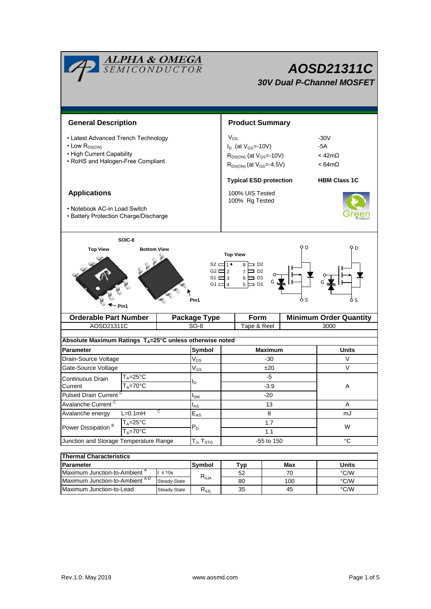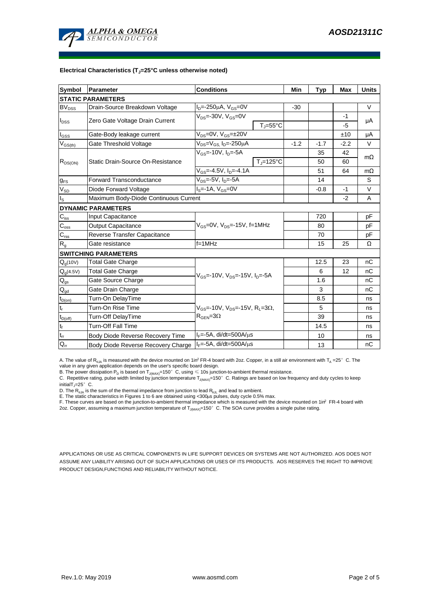

#### **Electrical Characteristics (TJ=25°C unless otherwise noted)**

| <b>Symbol</b>               | Parameter                             | <b>Conditions</b>                                            |                | <b>Typ</b> | Max    | <b>Units</b> |
|-----------------------------|---------------------------------------|--------------------------------------------------------------|----------------|------------|--------|--------------|
| <b>STATIC PARAMETERS</b>    |                                       |                                                              |                |            |        |              |
| $BV_{DSS}$                  | Drain-Source Breakdown Voltage        | $I_{D} = -250 \mu A$ , $V_{GS} = 0V$                         | $-30$          |            |        | $\vee$       |
| $I_{DSS}$                   | Zero Gate Voltage Drain Current       | $V_{DS} = -30V$ , $V_{GS} = 0V$                              |                |            | $-1$   | μA           |
|                             |                                       | $T_{J} = 55^{\circ}C$                                        |                |            | -5     |              |
| $I_{GSS}$                   | Gate-Body leakage current             | $V_{DS} = 0V$ , $V_{GS} = \pm 20V$                           |                |            | ±10    | μA           |
| $V_{GS(th)}$                | Gate Threshold Voltage                | V <sub>DS</sub> =V <sub>GS.</sub> I <sub>D</sub> =-250µA     | $-1.2$         | $-1.7$     | $-2.2$ | V            |
| $R_{DS(ON)}$                | Static Drain-Source On-Resistance     | $V_{GS} = -10V, I_D = -5A$                                   |                | 35         | 42     | $m\Omega$    |
|                             |                                       |                                                              | $T_J = 125$ °C | 50         | 60     |              |
|                             |                                       | $V_{GS}$ =-4.5V, $I_{D}$ =-4.1A                              |                | 51         | 64     | $m\Omega$    |
| $g_{FS}$                    | <b>Forward Transconductance</b>       | $V_{DS} = -5V$ , $I_{D} = -5A$                               |                | 14         |        | S            |
| $V_{SD}$                    | Diode Forward Voltage                 | $I_S = -1A$ , $V_{GS} = 0V$                                  |                | $-0.8$     | -1     | V            |
| $I_{\rm S}$                 | Maximum Body-Diode Continuous Current |                                                              |                |            | $-2$   | A            |
| <b>DYNAMIC PARAMETERS</b>   |                                       |                                                              |                |            |        |              |
| $\mathbf{C}_{\text{iss}}$   | Input Capacitance                     |                                                              |                | 720        |        | рF           |
| $C_{\rm oss}$               | <b>Output Capacitance</b>             | $V_{GS}$ =0V, $V_{DS}$ =-15V, f=1MHz                         |                | 80         |        | рF           |
| $\mathbf{C}_{\text{rss}}$   | Reverse Transfer Capacitance          |                                                              |                | 70         |        | рF           |
| $R_{g}$                     | Gate resistance                       | $f = 1$ MHz                                                  |                | 15         | 25     | Ω            |
| <b>SWITCHING PARAMETERS</b> |                                       |                                                              |                |            |        |              |
| $Q_g(10V)$                  | <b>Total Gate Charge</b>              |                                                              |                | 12.5       | 23     | nC           |
| $Q_g(4.5V)$                 | <b>Total Gate Charge</b>              | $V_{GS}$ =-10V, $V_{DS}$ =-15V, $I_{D}$ =-5A                 |                | 6          | 12     | nC           |
| $\mathsf{Q}_{\text{gs}}$    | Gate Source Charge                    |                                                              |                | 1.6        |        | nC           |
| $\mathsf{Q}_{\text{gd}}$    | Gate Drain Charge                     |                                                              |                | 3          |        | пC           |
| $t_{D(on)}$                 | Turn-On DelayTime                     |                                                              |                | 8.5        |        | ns           |
| $t_r$                       | Turn-On Rise Time                     | $V_{GS}$ =-10V, $V_{DS}$ =-15V, R <sub>1</sub> =3 $\Omega$ , |                | 5          |        | ns           |
| $t_{D(off)}$                | Turn-Off DelayTime                    | $R_{\text{GEN}} = 3\Omega$                                   |                | 39         |        | ns           |
| $\mathsf{t}_{\mathsf{f}}$   | Turn-Off Fall Time                    |                                                              |                | 14.5       |        | ns           |
| $\mathfrak{t}_{\text{rr}}$  | Body Diode Reverse Recovery Time      | $I_F = -5A$ , di/dt=500A/ $\mu$ s                            |                | 10         |        | ns           |
| $Q_{rr}$                    | Body Diode Reverse Recovery Charge    | $I_F = -5A$ , di/dt=500A/us                                  |                | 13         |        | nC           |

A. The value of  $R_{\theta JA}$  is measured with the device mounted on 1in<sup>2</sup> FR-4 board with 2oz. Copper, in a still air environment with T<sub>A</sub> =25° C. The value in any given application depends on the user's specific board design.

B. The power dissipation  ${\sf P}_{\sf D}$  is based on  ${\sf T}_{\sf J(MAX)}$ =150 $^\circ\,$  C, using  $\leqslant$  10s junction-to-ambient thermal resistance.

C. Repetitive rating, pulse width limited by junction temperature T $_{\rm J(MAX)}$ =150°C. Ratings are based on low frequency and duty cycles to keep

initialT $j=25^\circ$  C.

D. The R<sub>eJA</sub> is the sum of the thermal impedance from junction to lead R<sub>eJL</sub> and lead to ambient.<br>E. The static characteristics in Figures 1 to 6 are obtained using <300µs pulses, duty cycle 0.5% max.<br>F. These curves are

APPLICATIONS OR USE AS CRITICAL COMPONENTS IN LIFE SUPPORT DEVICES OR SYSTEMS ARE NOT AUTHORIZED. AOS DOES NOT ASSUME ANY LIABILITY ARISING OUT OF SUCH APPLICATIONS OR USES OF ITS PRODUCTS. AOS RESERVES THE RIGHT TO IMPROVE PRODUCT DESIGN,FUNCTIONS AND RELIABILITY WITHOUT NOTICE.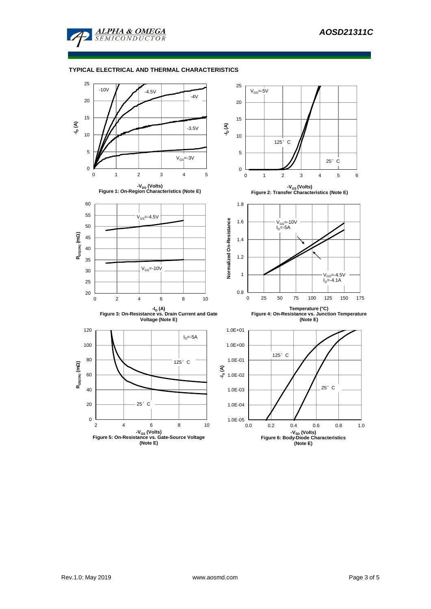

## **TYPICAL ELECTRICAL AND THERMAL CHARACTERISTICS**

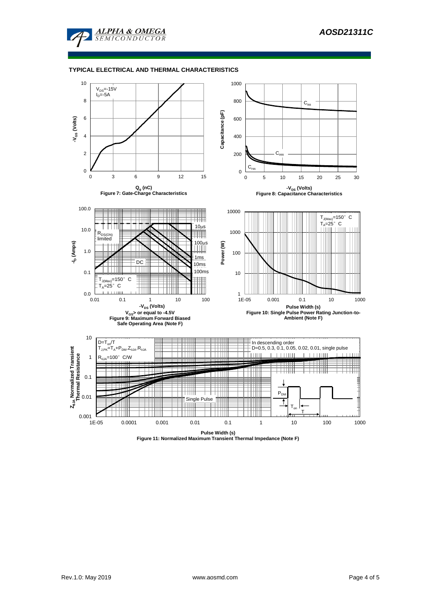

#### **TYPICAL ELECTRICAL AND THERMAL CHARACTERISTICS**